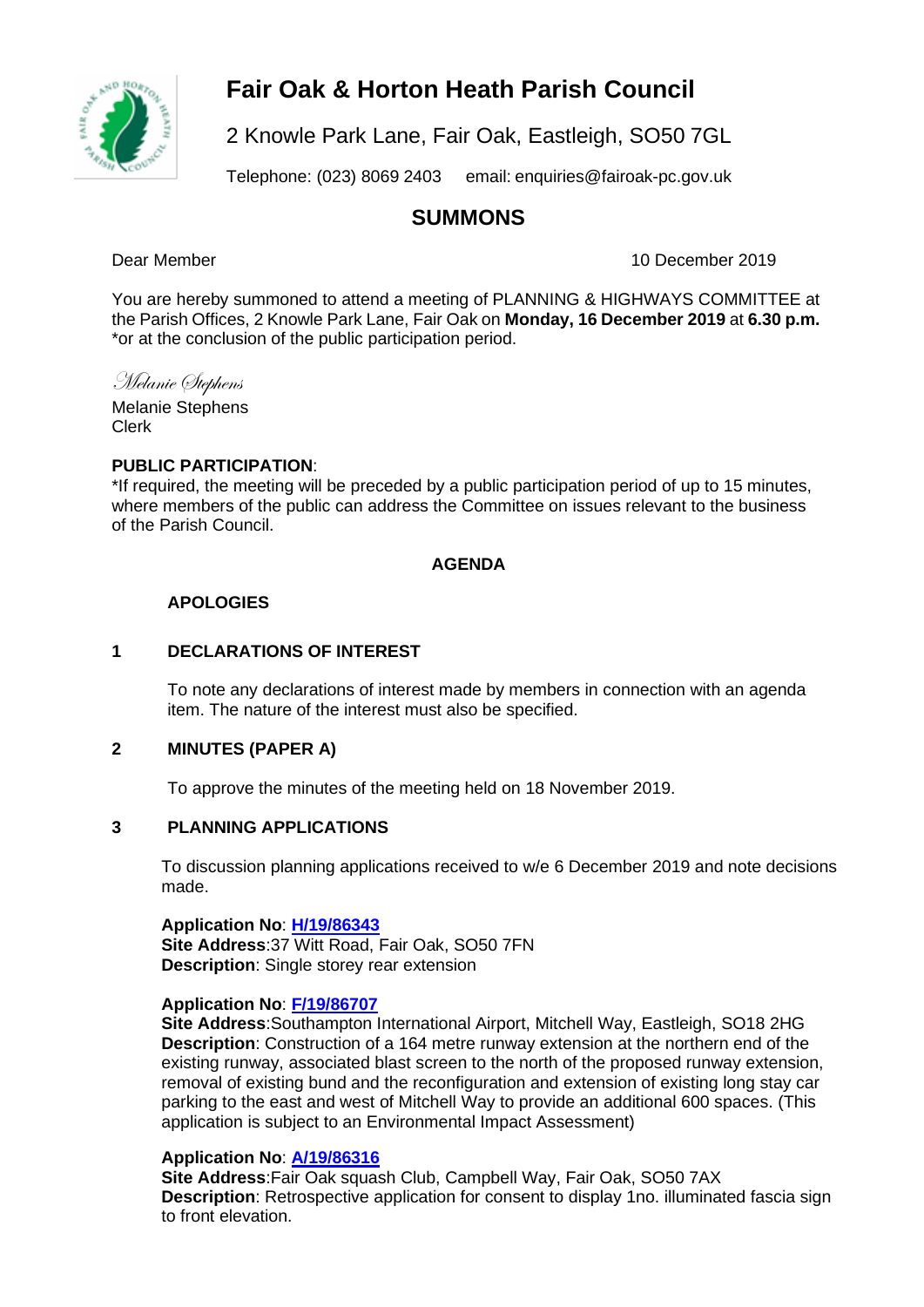

## **Fair Oak & Horton Heath Parish Council**

2 Knowle Park Lane, Fair Oak, Eastleigh, SO50 7GL

Telephone: (023) 8069 2403 email: [enquiries@fairoak-pc.gov.uk](mailto:enquiries@fairoak-pc.gov.uk)

## **SUMMONS**

Dear Member 10 December 2019

You are hereby summoned to attend a meeting of PLANNING & HIGHWAYS COMMITTEE at the Parish Offices, 2 Knowle Park Lane, Fair Oak on **Monday, 16 December 2019** at **6.30 p.m.**  \*or at the conclusion of the public participation period.

### Melanie Stephens

Melanie Stephens Clerk

### **PUBLIC PARTICIPATION**:

\*If required, the meeting will be preceded by a public participation period of up to 15 minutes, where members of the public can address the Committee on issues relevant to the business of the Parish Council.

### **AGENDA**

### **APOLOGIES**

### **1 DECLARATIONS OF INTEREST**

To note any declarations of interest made by members in connection with an agenda item. The nature of the interest must also be specified.

### **2 MINUTES (PAPER A)**

To approve the minutes of the meeting held on 18 November 2019.

### **3 PLANNING APPLICATIONS**

To discussion planning applications received to w/e 6 December 2019 and note decisions made.

**Application No**: **[H/19/86343](https://planning.eastleigh.gov.uk/s/papplication/a1M4J000000DuA3) Site Address**:37 Witt Road, Fair Oak, SO50 7FN **Description**: Single storey rear extension

### **Application No**: **[F/19/86707](https://planning.eastleigh.gov.uk/s/papplication/a1M4J000000d3qI)**

**Site Address**:Southampton International Airport, Mitchell Way, Eastleigh, SO18 2HG **Description**: Construction of a 164 metre runway extension at the northern end of the existing runway, associated blast screen to the north of the proposed runway extension, removal of existing bund and the reconfiguration and extension of existing long stay car parking to the east and west of Mitchell Way to provide an additional 600 spaces. (This application is subject to an Environmental Impact Assessment)

### **Application No**: **[A/19/86316](https://planning.eastleigh.gov.uk/s/papplication/a1M4J000000Dsuu)**

**Site Address**:Fair Oak squash Club, Campbell Way, Fair Oak, SO50 7AX **Description**: Retrospective application for consent to display 1no. illuminated fascia sign to front elevation.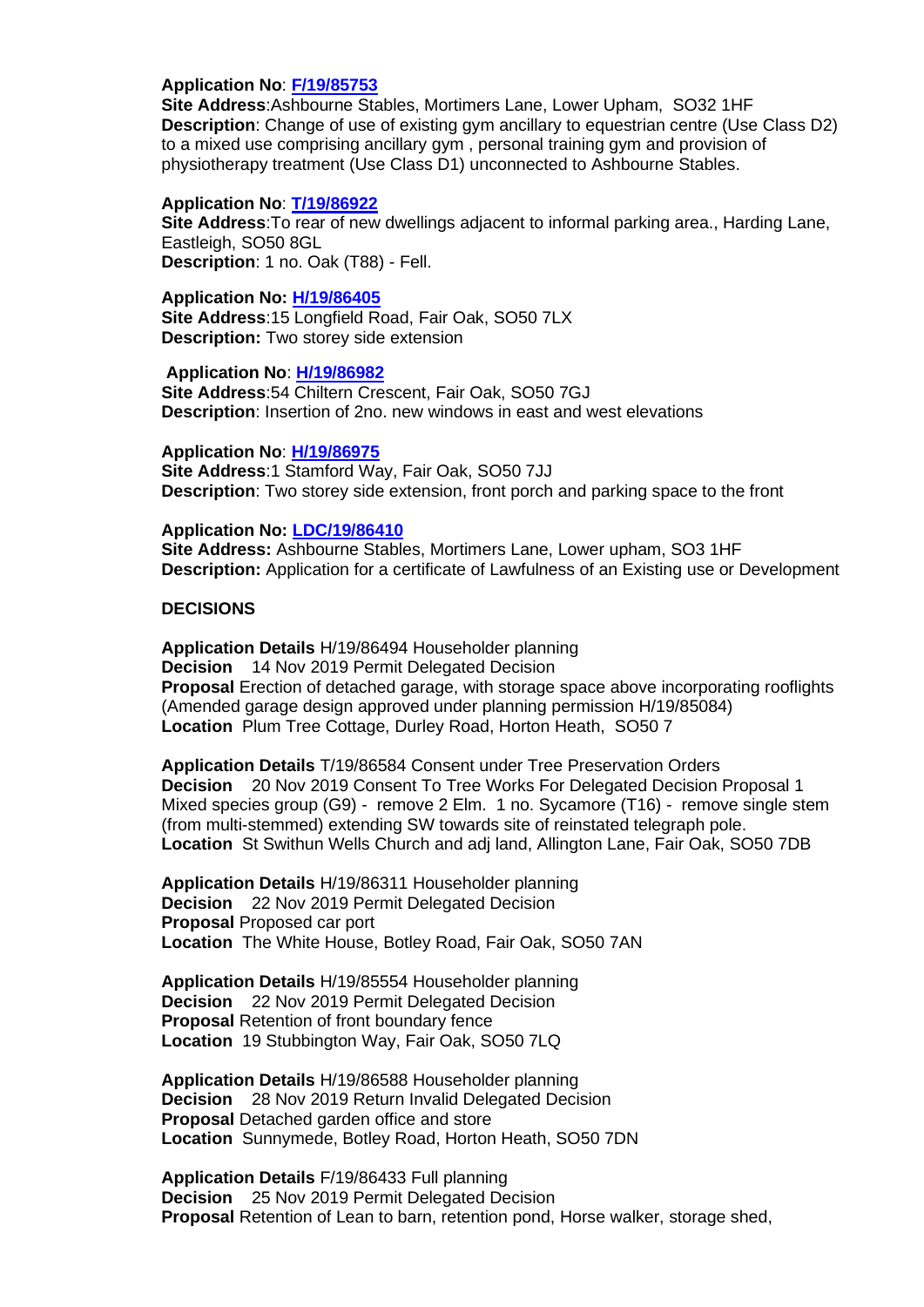### **Application No**: **[F/19/85753](https://planning.eastleigh.gov.uk/s/papplication/a1M4J000000DPKx)**

**Site Address**:Ashbourne Stables, Mortimers Lane, Lower Upham, SO32 1HF **Description**: Change of use of existing gym ancillary to equestrian centre (Use Class D2) to a mixed use comprising ancillary gym , personal training gym and provision of physiotherapy treatment (Use Class D1) unconnected to Ashbourne Stables.

### **Application No**: **[T/19/86922](https://planning.eastleigh.gov.uk/s/papplication/a1M4J000000dFED)**

**Site Address**:To rear of new dwellings adjacent to informal parking area., Harding Lane, Eastleigh, SO50 8GL **Description**: 1 no. Oak (T88) - Fell.

### **Application No: [H/19/86405](https://planning.eastleigh.gov.uk/s/public-register)**

**Site Address**:15 Longfield Road, Fair Oak, SO50 7LX **Description:** Two storey side extension

### **Application No**: **[H/19/86982](https://planning.eastleigh.gov.uk/s/papplication/a1M4J000000dItV)**

**Site Address**:54 Chiltern Crescent, Fair Oak, SO50 7GJ **Description**: Insertion of 2no. new windows in east and west elevations

### **Application No**: **[H/19/86975](https://planning.eastleigh.gov.uk/s/papplication/a1M4J000000dHJV)**

**Site Address**:1 Stamford Way, Fair Oak, SO50 7JJ **Description**: Two storey side extension, front porch and parking space to the front

### **Application No: [LDC/19/86410](https://planning.eastleigh.gov.uk/s/public-register)**

**Site Address:** Ashbourne Stables, Mortimers Lane, Lower upham, SO3 1HF **Description:** Application for a certificate of Lawfulness of an Existing use or Development

### **DECISIONS**

**Application Details** H/19/86494 Householder planning **Decision** 14 Nov 2019 Permit Delegated Decision **Proposal** Erection of detached garage, with storage space above incorporating rooflights (Amended garage design approved under planning permission H/19/85084) **Location** Plum Tree Cottage, Durley Road, Horton Heath, SO50 7

**Application Details** T/19/86584 Consent under Tree Preservation Orders **Decision** 20 Nov 2019 Consent To Tree Works For Delegated Decision Proposal 1 Mixed species group (G9) - remove 2 Elm. 1 no. Sycamore (T16) - remove single stem (from multi-stemmed) extending SW towards site of reinstated telegraph pole. **Location** St Swithun Wells Church and adj land, Allington Lane, Fair Oak, SO50 7DB

**Application Details** H/19/86311 Householder planning **Decision** 22 Nov 2019 Permit Delegated Decision **Proposal** Proposed car port **Location** The White House, Botley Road, Fair Oak, SO50 7AN

**Application Details** H/19/85554 Householder planning **Decision** 22 Nov 2019 Permit Delegated Decision **Proposal** Retention of front boundary fence **Location** 19 Stubbington Way, Fair Oak, SO50 7LQ

**Application Details** H/19/86588 Householder planning **Decision** 28 Nov 2019 Return Invalid Delegated Decision **Proposal** Detached garden office and store **Location** Sunnymede, Botley Road, Horton Heath, SO50 7DN

**Application Details** F/19/86433 Full planning **Decision** 25 Nov 2019 Permit Delegated Decision **Proposal** Retention of Lean to barn, retention pond, Horse walker, storage shed,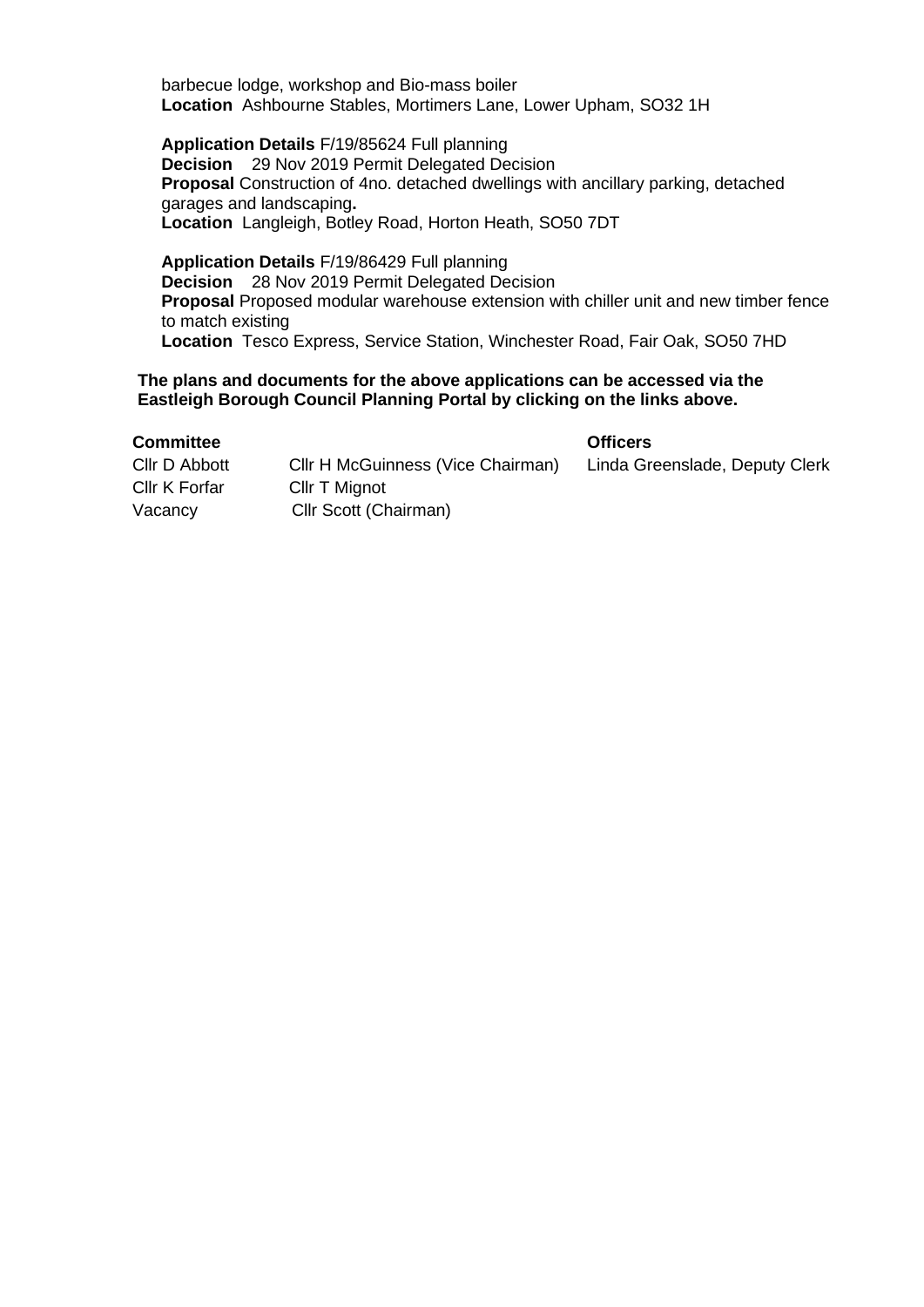barbecue lodge, workshop and Bio-mass boiler **Location** Ashbourne Stables, Mortimers Lane, Lower Upham, SO32 1H

**Application Details** F/19/85624 Full planning **Decision** 29 Nov 2019 Permit Delegated Decision **Proposal** Construction of 4no. detached dwellings with ancillary parking, detached garages and landscaping**. Location** Langleigh, Botley Road, Horton Heath, SO50 7DT

**Application Details** F/19/86429 Full planning **Decision** 28 Nov 2019 Permit Delegated Decision **Proposal** Proposed modular warehouse extension with chiller unit and new timber fence to match existing **Location** Tesco Express, Service Station, Winchester Road, Fair Oak, SO50 7HD

### **The plans and documents for the above applications can be accessed via the Eastleigh Borough Council Planning Portal by clicking on the links above.**

### **Committee Officers**

Cllr D Abbott Cllr H McGuinness (Vice Chairman) Linda Greenslade, Deputy Clerk Cllr K Forfar Cllr T Mignot Vacancy Cllr Scott (Chairman)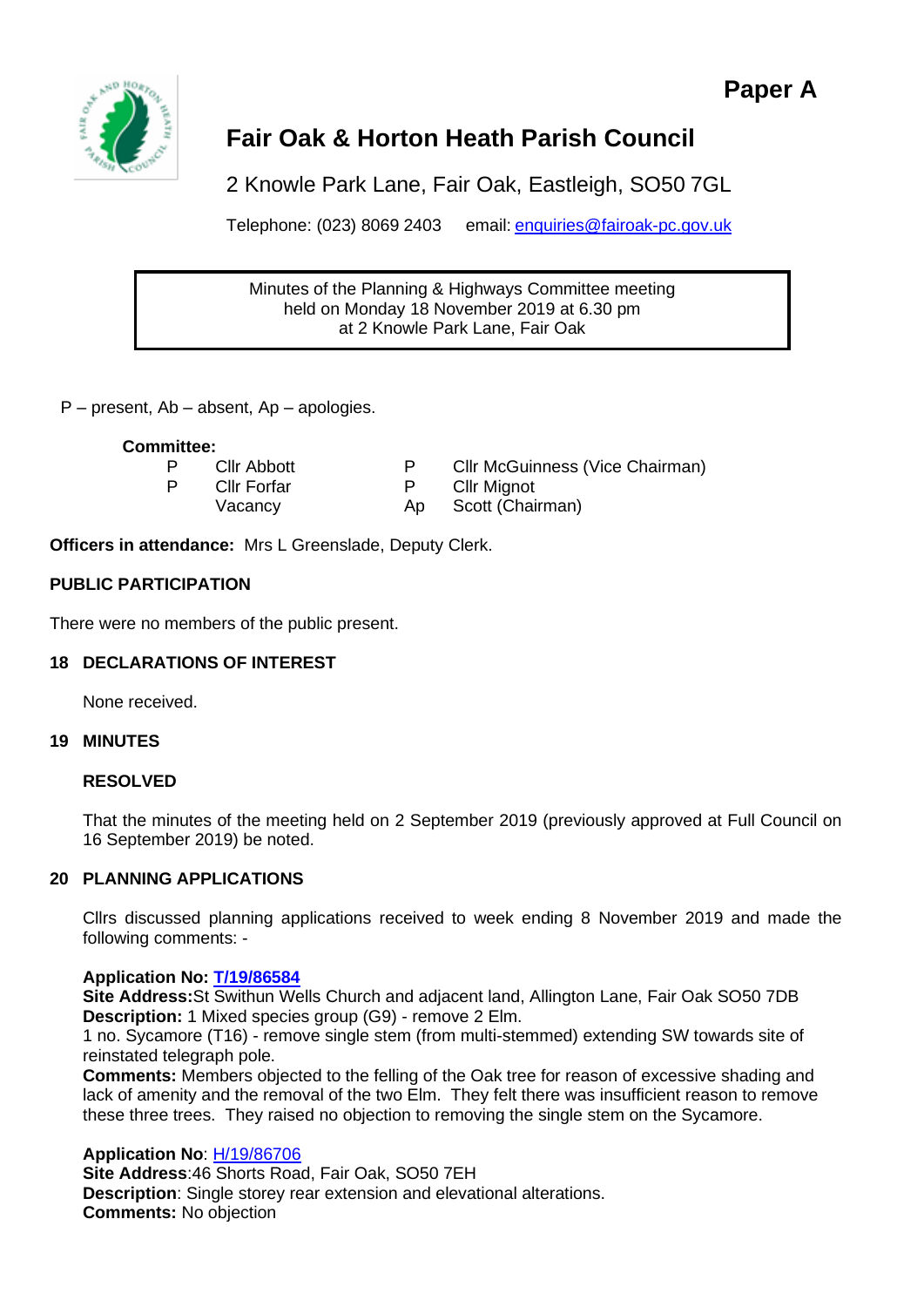



# **Fair Oak & Horton Heath Parish Council**

2 Knowle Park Lane, Fair Oak, Eastleigh, SO50 7GL

Telephone: (023) 8069 2403 email: [enquiries@fairoak-pc.gov.uk](mailto:enquiries@fairoak-pc.gov.uk)

Minutes of the Planning & Highways Committee meeting held on Monday 18 November 2019 at 6.30 pm at 2 Knowle Park Lane, Fair Oak

P – present, Ab – absent, Ap – apologies.

### **Committee:**

| Cllr Abbott        | Cllr McGuinness (Vice Chairman) |
|--------------------|---------------------------------|
| <b>Cllr Forfar</b> | Cllr Mignot                     |
| Vacancy            | Ap Scott (Chairman)             |
|                    |                                 |

**Officers in attendance:** Mrs L Greenslade, Deputy Clerk.

### **PUBLIC PARTICIPATION**

There were no members of the public present.

### **18 DECLARATIONS OF INTEREST**

None received.

### **19 MINUTES**

### **RESOLVED**

That the minutes of the meeting held on 2 September 2019 (previously approved at Full Council on 16 September 2019) be noted.

### **20 PLANNING APPLICATIONS**

Cllrs discussed planning applications received to week ending 8 November 2019 and made the following comments: -

### **Application No: [T/19/86584](https://planning.eastleigh.gov.uk/s/papplication/a1M4J000000d1yz)**

**Site Address:**St Swithun Wells Church and adjacent land, Allington Lane, Fair Oak SO50 7DB **Description:** 1 Mixed species group (G9) - remove 2 Elm.

1 no. Sycamore (T16) - remove single stem (from multi-stemmed) extending SW towards site of reinstated telegraph pole.

**Comments:** Members objected to the felling of the Oak tree for reason of excessive shading and lack of amenity and the removal of the two Elm. They felt there was insufficient reason to remove these three trees. They raised no objection to removing the single stem on the Sycamore.

### **Application No**: [H/19/86706](https://planning.eastleigh.gov.uk/s/papplication/a1M4J000000d3qD)

**Site Address**:46 Shorts Road, Fair Oak, SO50 7EH **Description**: Single storey rear extension and elevational alterations. **Comments:** No objection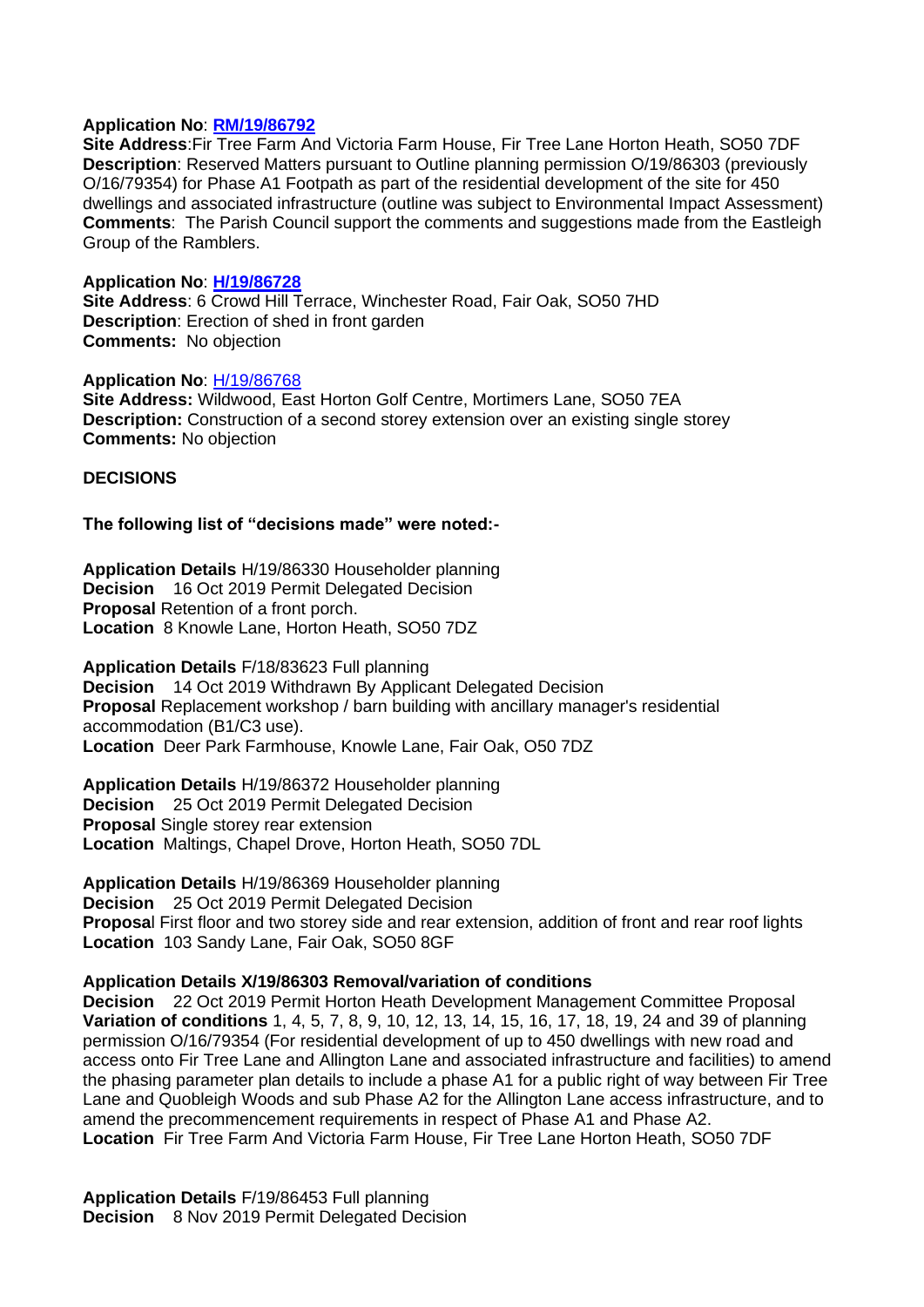### **Application No**: **[RM/19/86792](https://planning.eastleigh.gov.uk/s/papplication/a1M4J000000d6XM)**

**Site Address**:Fir Tree Farm And Victoria Farm House, Fir Tree Lane Horton Heath, SO50 7DF **Description**: Reserved Matters pursuant to Outline planning permission O/19/86303 (previously O/16/79354) for Phase A1 Footpath as part of the residential development of the site for 450 dwellings and associated infrastructure (outline was subject to Environmental Impact Assessment) **Comments**: The Parish Council support the comments and suggestions made from the Eastleigh Group of the Ramblers.

### **Application No**: **[H/19/86728](https://planning.eastleigh.gov.uk/s/papplication/a1M4J000000d4QX)**

**Site Address**: 6 Crowd Hill Terrace, Winchester Road, Fair Oak, SO50 7HD **Description**: Erection of shed in front garden **Comments:** No objection

### **Application No**: [H/19/86768](https://planning.eastleigh.gov.uk/s/papplication/a1M4J000000d5Go)

**Site Address:** Wildwood, East Horton Golf Centre, Mortimers Lane, SO50 7EA **Description:** Construction of a second storey extension over an existing single storey **Comments:** No objection

### **DECISIONS**

### **The following list of "decisions made" were noted:-**

**Application Details** H/19/86330 Householder planning **Decision** 16 Oct 2019 Permit Delegated Decision **Proposal** Retention of a front porch. **Location** 8 Knowle Lane, Horton Heath, SO50 7DZ

**Application Details** F/18/83623 Full planning **Decision** 14 Oct 2019 Withdrawn By Applicant Delegated Decision **Proposal** Replacement workshop / barn building with ancillary manager's residential accommodation (B1/C3 use). **Location** Deer Park Farmhouse, Knowle Lane, Fair Oak, O50 7DZ

**Application Details** H/19/86372 Householder planning **Decision** 25 Oct 2019 Permit Delegated Decision **Proposal** Single storey rear extension **Location** Maltings, Chapel Drove, Horton Heath, SO50 7DL

**Application Details** H/19/86369 Householder planning **Decision** 25 Oct 2019 Permit Delegated Decision **Proposa**l First floor and two storey side and rear extension, addition of front and rear roof lights **Location** 103 Sandy Lane, Fair Oak, SO50 8GF

### **Application Details X/19/86303 Removal/variation of conditions**

**Decision** 22 Oct 2019 Permit Horton Heath Development Management Committee Proposal **Variation of conditions** 1, 4, 5, 7, 8, 9, 10, 12, 13, 14, 15, 16, 17, 18, 19, 24 and 39 of planning permission O/16/79354 (For residential development of up to 450 dwellings with new road and access onto Fir Tree Lane and Allington Lane and associated infrastructure and facilities) to amend the phasing parameter plan details to include a phase A1 for a public right of way between Fir Tree Lane and Quobleigh Woods and sub Phase A2 for the Allington Lane access infrastructure, and to amend the precommencement requirements in respect of Phase A1 and Phase A2. **Location** Fir Tree Farm And Victoria Farm House, Fir Tree Lane Horton Heath, SO50 7DF

**Application Details** F/19/86453 Full planning **Decision** 8 Nov 2019 Permit Delegated Decision